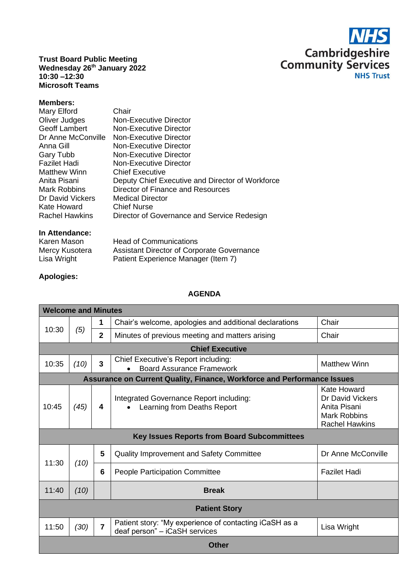

**Trust Board Public Meeting Wednesday 26 th January 2022 10:30 –12:30 Microsoft Teams**

## **Members:**

| <b>Fazilet Hadi</b><br><b>Non-Executive Director</b><br><b>Matthew Winn</b><br><b>Chief Executive</b><br>Anita Pisani<br>Director of Finance and Resources<br><b>Mark Robbins</b><br>Dr David Vickers<br><b>Medical Director</b><br>Kate Howard<br><b>Chief Nurse</b><br>Director of Governance and Service Redesign<br><b>Rachel Hawkins</b> | Mary Elford<br>Oliver Judges<br>Geoff Lambert<br>Dr Anne McConville<br>Anna Gill<br>Gary Tubb | Chair<br>Non-Executive Director<br>Non-Executive Director<br>Non-Executive Director<br>Non-Executive Director<br>Non-Executive Director<br>Deputy Chief Executive and Director of Workforce |
|-----------------------------------------------------------------------------------------------------------------------------------------------------------------------------------------------------------------------------------------------------------------------------------------------------------------------------------------------|-----------------------------------------------------------------------------------------------|---------------------------------------------------------------------------------------------------------------------------------------------------------------------------------------------|
|-----------------------------------------------------------------------------------------------------------------------------------------------------------------------------------------------------------------------------------------------------------------------------------------------------------------------------------------------|-----------------------------------------------------------------------------------------------|---------------------------------------------------------------------------------------------------------------------------------------------------------------------------------------------|

## **In Attendance:**

| Karen Mason    | <b>Head of Communications</b>                     |
|----------------|---------------------------------------------------|
| Mercy Kusotera | <b>Assistant Director of Corporate Governance</b> |
| Lisa Wright    | Patient Experience Manager (Item 7)               |

## **Apologies:**

## **AGENDA**

| <b>Welcome and Minutes</b>                                              |                      |                |                                                                                         |                                                                                                 |  |  |
|-------------------------------------------------------------------------|----------------------|----------------|-----------------------------------------------------------------------------------------|-------------------------------------------------------------------------------------------------|--|--|
| 10:30                                                                   |                      | 1              | Chair's welcome, apologies and additional declarations                                  | Chair                                                                                           |  |  |
|                                                                         | (5)                  | $\overline{2}$ | Minutes of previous meeting and matters arising                                         | Chair                                                                                           |  |  |
| <b>Chief Executive</b>                                                  |                      |                |                                                                                         |                                                                                                 |  |  |
| 10:35                                                                   | (10)                 | 3              | Chief Executive's Report including:<br><b>Board Assurance Framework</b>                 | <b>Matthew Winn</b>                                                                             |  |  |
| Assurance on Current Quality, Finance, Workforce and Performance Issues |                      |                |                                                                                         |                                                                                                 |  |  |
| 10:45                                                                   | (45)                 | 4              | Integrated Governance Report including:<br>Learning from Deaths Report                  | Kate Howard<br>Dr David Vickers<br>Anita Pisani<br><b>Mark Robbins</b><br><b>Rachel Hawkins</b> |  |  |
| <b>Key Issues Reports from Board Subcommittees</b>                      |                      |                |                                                                                         |                                                                                                 |  |  |
| 11:30<br>(10)                                                           |                      | 5              | <b>Quality Improvement and Safety Committee</b>                                         | Dr Anne McConville                                                                              |  |  |
|                                                                         |                      | 6              | People Participation Committee                                                          | <b>Fazilet Hadi</b>                                                                             |  |  |
| 11:40                                                                   | (10)                 |                | <b>Break</b>                                                                            |                                                                                                 |  |  |
|                                                                         | <b>Patient Story</b> |                |                                                                                         |                                                                                                 |  |  |
| 11:50                                                                   | (30)                 | $\overline{7}$ | Patient story: "My experience of contacting iCaSH as a<br>deaf person" – iCaSH services | Lisa Wright                                                                                     |  |  |
| <b>Other</b>                                                            |                      |                |                                                                                         |                                                                                                 |  |  |